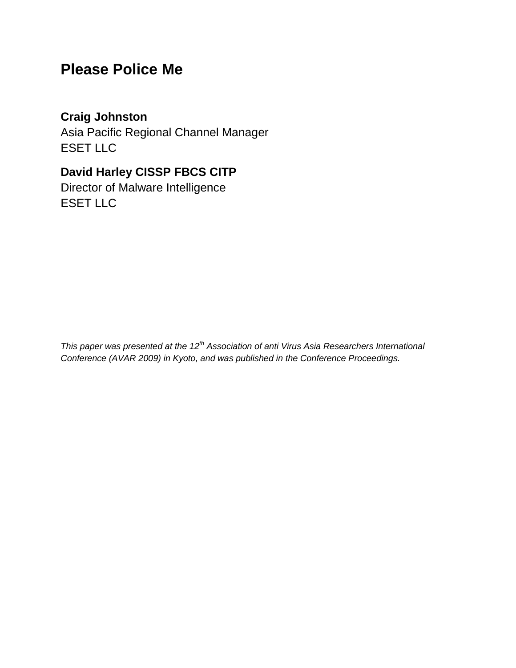# **Please Police Me**

## **Craig Johnston**

Asia Pacific Regional Channel Manager ESET LLC

# **David Harley CISSP FBCS CITP**

Director of Malware Intelligence ESET LLC

*This paper was presented at the 12th Association of anti Virus Asia Researchers International Conference (AVAR 2009) in Kyoto, and was published in the Conference Proceedings.*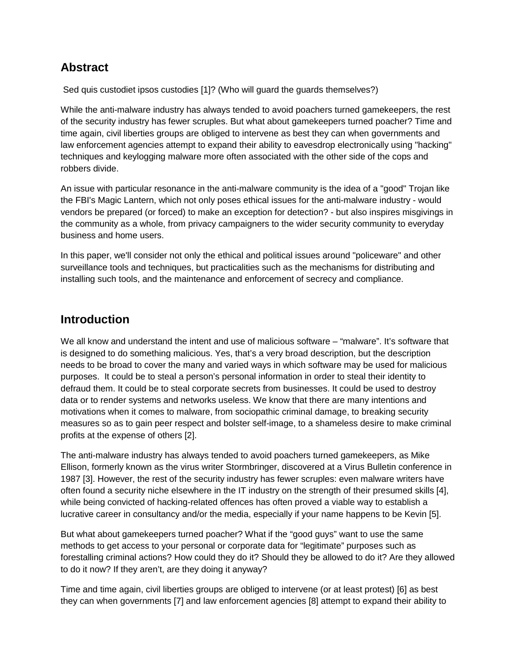## **Abstract**

Sed quis custodiet ipsos custodies [1]? (Who will guard the guards themselves?)

While the anti-malware industry has always tended to avoid poachers turned gamekeepers, the rest of the security industry has fewer scruples. But what about gamekeepers turned poacher? Time and time again, civil liberties groups are obliged to intervene as best they can when governments and law enforcement agencies attempt to expand their ability to eavesdrop electronically using "hacking" techniques and keylogging malware more often associated with the other side of the cops and robbers divide.

An issue with particular resonance in the anti-malware community is the idea of a "good" Trojan like the FBI's Magic Lantern, which not only poses ethical issues for the anti-malware industry - would vendors be prepared (or forced) to make an exception for detection? - but also inspires misgivings in the community as a whole, from privacy campaigners to the wider security community to everyday business and home users.

In this paper, we'll consider not only the ethical and political issues around "policeware" and other surveillance tools and techniques, but practicalities such as the mechanisms for distributing and installing such tools, and the maintenance and enforcement of secrecy and compliance.

#### **Introduction**

We all know and understand the intent and use of malicious software – "malware". It's software that is designed to do something malicious. Yes, that's a very broad description, but the description needs to be broad to cover the many and varied ways in which software may be used for malicious purposes. It could be to steal a person's personal information in order to steal their identity to defraud them. It could be to steal corporate secrets from businesses. It could be used to destroy data or to render systems and networks useless. We know that there are many intentions and motivations when it comes to malware, from sociopathic criminal damage, to breaking security measures so as to gain peer respect and bolster self-image, to a shameless desire to make criminal profits at the expense of others [2].

The anti-malware industry has always tended to avoid poachers turned gamekeepers, as Mike Ellison, formerly known as the virus writer Stormbringer, discovered at a Virus Bulletin conference in 1987 [3]. However, the rest of the security industry has fewer scruples: even malware writers have often found a security niche elsewhere in the IT industry on the strength of their presumed skills [4], while being convicted of hacking-related offences has often proved a viable way to establish a lucrative career in consultancy and/or the media, especially if your name happens to be Kevin [5].

But what about gamekeepers turned poacher? What if the "good guys" want to use the same methods to get access to your personal or corporate data for "legitimate" purposes such as forestalling criminal actions? How could they do it? Should they be allowed to do it? Are they allowed to do it now? If they aren't, are they doing it anyway?

Time and time again, civil liberties groups are obliged to intervene (or at least protest) [6] as best they can when governments [7] and law enforcement agencies [8] attempt to expand their ability to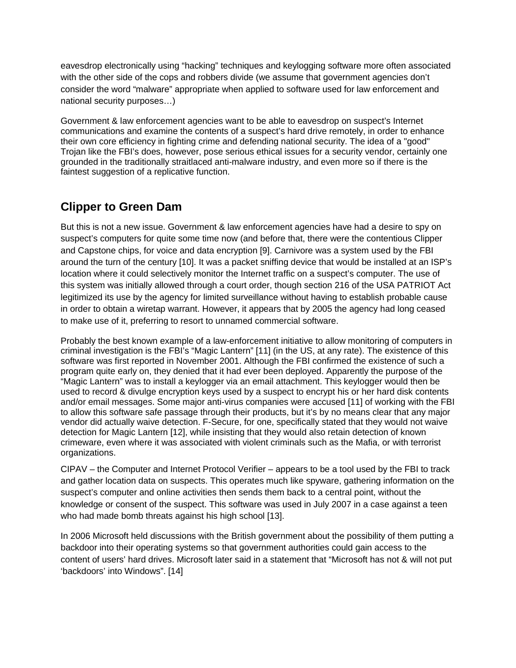eavesdrop electronically using "hacking" techniques and keylogging software more often associated with the other side of the cops and robbers divide (we assume that government agencies don't consider the word "malware" appropriate when applied to software used for law enforcement and national security purposes…)

Government & law enforcement agencies want to be able to eavesdrop on suspect's Internet communications and examine the contents of a suspect's hard drive remotely, in order to enhance their own core efficiency in fighting crime and defending national security. The idea of a "good" Trojan like the FBI's does, however, pose serious ethical issues for a security vendor, certainly one grounded in the traditionally straitlaced anti-malware industry, and even more so if there is the faintest suggestion of a replicative function.

# **Clipper to Green Dam**

But this is not a new issue. Government & law enforcement agencies have had a desire to spy on suspect's computers for quite some time now (and before that, there were the contentious Clipper and Capstone chips, for voice and data encryption [9]. Carnivore was a system used by the FBI around the turn of the century [10]. It was a packet sniffing device that would be installed at an ISP's location where it could selectively monitor the Internet traffic on a suspect's computer. The use of this system was initially allowed through a court order, though section 216 of the USA PATRIOT Act legitimized its use by the agency for limited surveillance without having to establish probable cause in order to obtain a wiretap warrant. However, it appears that by 2005 the agency had long ceased to make use of it, preferring to resort to unnamed commercial software.

Probably the best known example of a law-enforcement initiative to allow monitoring of computers in criminal investigation is the FBI's "Magic Lantern" [11] (in the US, at any rate). The existence of this software was first reported in November 2001. Although the FBI confirmed the existence of such a program quite early on, they denied that it had ever been deployed. Apparently the purpose of the "Magic Lantern" was to install a keylogger via an email attachment. This keylogger would then be used to record & divulge encryption keys used by a suspect to encrypt his or her hard disk contents and/or email messages. Some major anti-virus companies were accused [11] of working with the FBI to allow this software safe passage through their products, but it's by no means clear that any major vendor did actually waive detection. F-Secure, for one, specifically stated that they would not waive detection for Magic Lantern [12], while insisting that they would also retain detection of known crimeware, even where it was associated with violent criminals such as the Mafia, or with terrorist organizations.

CIPAV – the Computer and Internet Protocol Verifier – appears to be a tool used by the FBI to track and gather location data on suspects. This operates much like spyware, gathering information on the suspect's computer and online activities then sends them back to a central point, without the knowledge or consent of the suspect. This software was used in July 2007 in a case against a teen who had made bomb threats against his high school [13].

In 2006 Microsoft held discussions with the British government about the possibility of them putting a backdoor into their operating systems so that government authorities could gain access to the content of users' hard drives. Microsoft later said in a statement that "Microsoft has not & will not put 'backdoors' into Windows". [14]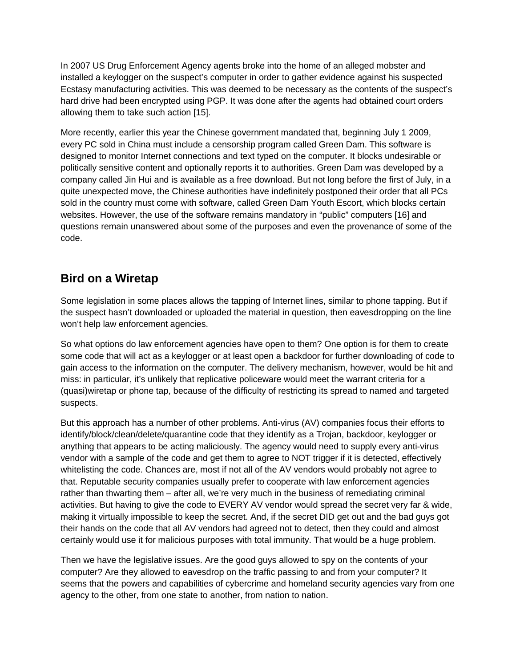In 2007 US Drug Enforcement Agency agents broke into the home of an alleged mobster and installed a keylogger on the suspect's computer in order to gather evidence against his suspected Ecstasy manufacturing activities. This was deemed to be necessary as the contents of the suspect's hard drive had been encrypted using PGP. It was done after the agents had obtained court orders allowing them to take such action [15].

More recently, earlier this year the Chinese government mandated that, beginning July 1 2009, every PC sold in China must include a censorship program called Green Dam. This software is designed to monitor Internet connections and text typed on the computer. It blocks undesirable or politically sensitive content and optionally reports it to authorities. Green Dam was developed by a company called Jin Hui and is available as a [free download.](http://www.lssw365.net/index.php/List/index/pid/2) But not long before the first of July, in a quite unexpected move, the Chinese authorities have [indefinitely postponed](http://www.reuters.com/article/technologyNews/idUSTRE56014U20090701) [their order](http://mashable.com/2009/06/08/firewall-china-local/) that all PCs sold in the country must come with software, called Green Dam Youth Escort, which blocks certain websites. However, the use of the software remains mandatory in "public" computers [16] and questions remain unanswered about some of the purposes and even the provenance of some of the code.

# **Bird on a Wiretap**

Some legislation in some places allows the tapping of Internet lines, similar to phone tapping. But if the suspect hasn't downloaded or uploaded the material in question, then eavesdropping on the line won't help law enforcement agencies.

So what options do law enforcement agencies have open to them? One option is for them to create some code that will act as a keylogger or at least open a backdoor for further downloading of code to gain access to the information on the computer. The delivery mechanism, however, would be hit and miss: in particular, it's unlikely that replicative policeware would meet the warrant criteria for a (quasi)wiretap or phone tap, because of the difficulty of restricting its spread to named and targeted suspects.

But this approach has a number of other problems. Anti-virus (AV) companies focus their efforts to identify/block/clean/delete/quarantine code that they identify as a Trojan, backdoor, keylogger or anything that appears to be acting maliciously. The agency would need to supply every anti-virus vendor with a sample of the code and get them to agree to NOT trigger if it is detected, effectively whitelisting the code. Chances are, most if not all of the AV vendors would probably not agree to that. Reputable security companies usually prefer to cooperate with law enforcement agencies rather than thwarting them – after all, we're very much in the business of remediating criminal activities. But having to give the code to EVERY AV vendor would spread the secret very far & wide, making it virtually impossible to keep the secret. And, if the secret DID get out and the bad guys got their hands on the code that all AV vendors had agreed not to detect, then they could and almost certainly would use it for malicious purposes with total immunity. That would be a huge problem.

Then we have the legislative issues. Are the good guys allowed to spy on the contents of your computer? Are they allowed to eavesdrop on the traffic passing to and from your computer? It seems that the powers and capabilities of cybercrime and homeland security agencies vary from one agency to the other, from one state to another, from nation to nation.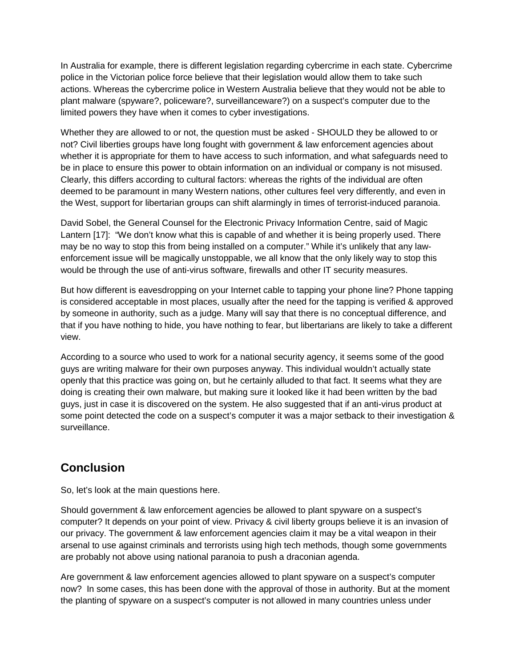In Australia for example, there is different legislation regarding cybercrime in each state. Cybercrime police in the Victorian police force believe that their legislation would allow them to take such actions. Whereas the cybercrime police in Western Australia believe that they would not be able to plant malware (spyware?, policeware?, surveillanceware?) on a suspect's computer due to the limited powers they have when it comes to cyber investigations.

Whether they are allowed to or not, the question must be asked - SHOULD they be allowed to or not? Civil liberties groups have long fought with government & law enforcement agencies about whether it is appropriate for them to have access to such information, and what safeguards need to be in place to ensure this power to obtain information on an individual or company is not misused. Clearly, this differs according to cultural factors: whereas the rights of the individual are often deemed to be paramount in many Western nations, other cultures feel very differently, and even in the West, support for libertarian groups can shift alarmingly in times of terrorist-induced paranoia.

David Sobel, the General Counsel for the Electronic Privacy Information Centre, said of Magic Lantern [17]: "We don't know what this is capable of and whether it is being properly used. There may be no way to stop this from being installed on a computer." While it's unlikely that any lawenforcement issue will be magically unstoppable, we all know that the only likely way to stop this would be through the use of anti-virus software, firewalls and other IT security measures.

But how different is eavesdropping on your Internet cable to tapping your phone line? Phone tapping is considered acceptable in most places, usually after the need for the tapping is verified & approved by someone in authority, such as a judge. Many will say that there is no conceptual difference, and that if you have nothing to hide, you have nothing to fear, but libertarians are likely to take a different view.

According to a source who used to work for a national security agency, it seems some of the good guys are writing malware for their own purposes anyway. This individual wouldn't actually state openly that this practice was going on, but he certainly alluded to that fact. It seems what they are doing is creating their own malware, but making sure it looked like it had been written by the bad guys, just in case it is discovered on the system. He also suggested that if an anti-virus product at some point detected the code on a suspect's computer it was a major setback to their investigation & surveillance.

# **Conclusion**

So, let's look at the main questions here.

Should government & law enforcement agencies be allowed to plant spyware on a suspect's computer? It depends on your point of view. Privacy & civil liberty groups believe it is an invasion of our privacy. The government & law enforcement agencies claim it may be a vital weapon in their arsenal to use against criminals and terrorists using high tech methods, though some governments are probably not above using national paranoia to push a draconian agenda.

Are government & law enforcement agencies allowed to plant spyware on a suspect's computer now? In some cases, this has been done with the approval of those in authority. But at the moment the planting of spyware on a suspect's computer is not allowed in many countries unless under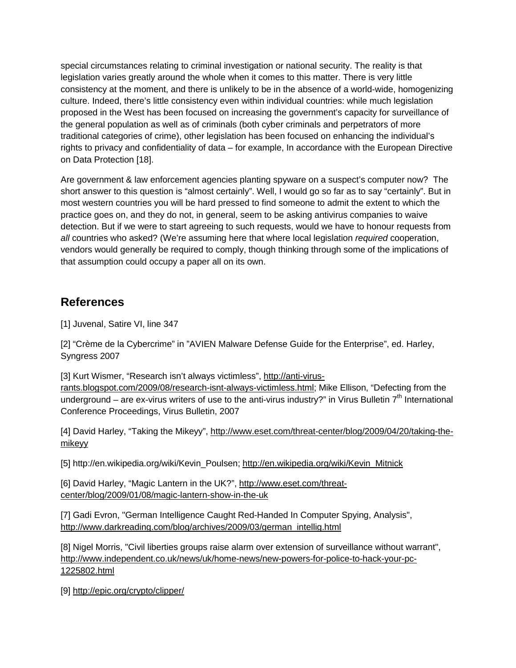special circumstances relating to criminal investigation or national security. The reality is that legislation varies greatly around the whole when it comes to this matter. There is very little consistency at the moment, and there is unlikely to be in the absence of a world-wide, homogenizing culture. Indeed, there's little consistency even within individual countries: while much legislation proposed in the West has been focused on increasing the government's capacity for surveillance of the general population as well as of criminals (both cyber criminals and perpetrators of more traditional categories of crime), other legislation has been focused on enhancing the individual's rights to privacy and confidentiality of data – for example, In accordance with the European Directive on Data Protection [18].

Are government & law enforcement agencies planting spyware on a suspect's computer now? The short answer to this question is "almost certainly". Well, I would go so far as to say "certainly". But in most western countries you will be hard pressed to find someone to admit the extent to which the practice goes on, and they do not, in general, seem to be asking antivirus companies to waive detection. But if we were to start agreeing to such requests, would we have to honour requests from *all* countries who asked? (We're assuming here that where local legislation *required* cooperation, vendors would generally be required to comply, though thinking through some of the implications of that assumption could occupy a paper all on its own.

## **References**

[1] Juvenal, Satire VI, line 347

[2] "Crème de la Cybercrime" in "AVIEN Malware Defense Guide for the Enterprise", ed. Harley, Syngress 2007

[3] Kurt Wismer, "Research isn't always victimless", [http://anti-virus](http://anti-virus-rants.blogspot.com/2009/08/research-isnt-always-victimless.html)[rants.blogspot.com/2009/08/research-isnt-always-victimless.html;](http://anti-virus-rants.blogspot.com/2009/08/research-isnt-always-victimless.html) Mike Ellison, "Defecting from the underground – are ex-virus writers of use to the anti-virus industry?" in Virus Bulletin  $7<sup>th</sup>$  International Conference Proceedings, Virus Bulletin, 2007

[4] David Harley, "Taking the Mikeyy", [http://www.eset.com/threat-center/blog/2009/04/20/taking-the](http://www.eset.com/threat-center/blog/2009/04/20/taking-the-mikeyy)[mikeyy](http://www.eset.com/threat-center/blog/2009/04/20/taking-the-mikeyy)

[5] http://en.wikipedia.org/wiki/Kevin\_Poulsen; [http://en.wikipedia.org/wiki/Kevin\\_Mitnick](http://en.wikipedia.org/wiki/Kevin_Mitnick)

[6] David Harley, "Magic Lantern in the UK?", [http://www.eset.com/threat](http://www.eset.com/threat-center/blog/2009/01/08/magic-lantern-show-in-the-uk)[center/blog/2009/01/08/magic-lantern-show-in-the-uk](http://www.eset.com/threat-center/blog/2009/01/08/magic-lantern-show-in-the-uk)

[7] Gadi Evron, "German Intelligence Caught Red-Handed In Computer Spying, Analysis", [http://www.darkreading.com/blog/archives/2009/03/german\\_intellig.html](http://www.darkreading.com/blog/archives/2009/03/german_intellig.html)

[8] Nigel Morris, "Civil liberties groups raise alarm over extension of surveillance without warrant", [http://www.independent.co.uk/news/uk/home-news/new-powers-for-police-to-hack-your-pc-](http://www.independent.co.uk/news/uk/home-news/new-powers-for-police-to-hack-your-pc-1225802.html)[1225802.html](http://www.independent.co.uk/news/uk/home-news/new-powers-for-police-to-hack-your-pc-1225802.html)

[9]<http://epic.org/crypto/clipper/>